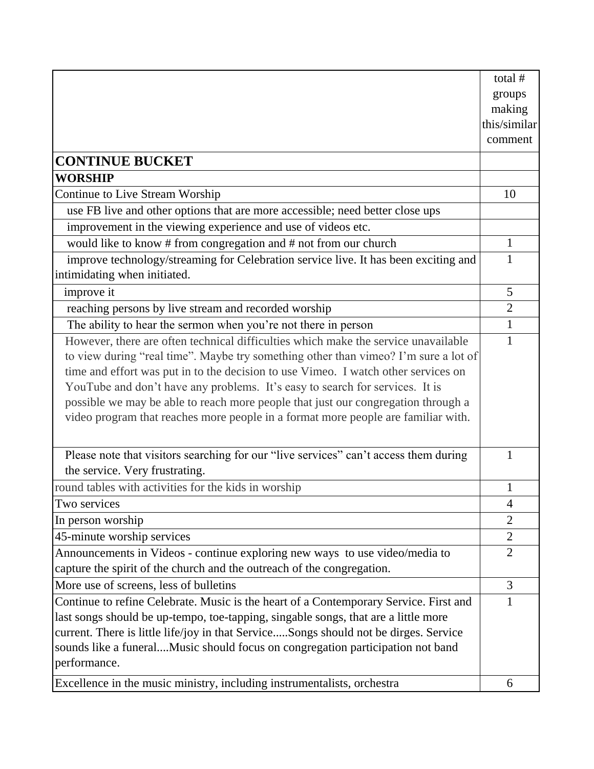|                                                                                       | total #        |
|---------------------------------------------------------------------------------------|----------------|
|                                                                                       | groups         |
|                                                                                       | making         |
|                                                                                       | this/similar   |
|                                                                                       | comment        |
| <b>CONTINUE BUCKET</b>                                                                |                |
| <b>WORSHIP</b>                                                                        |                |
| Continue to Live Stream Worship                                                       | 10             |
| use FB live and other options that are more accessible; need better close ups         |                |
| improvement in the viewing experience and use of videos etc.                          |                |
| would like to know # from congregation and # not from our church                      | $\mathbf{1}$   |
| improve technology/streaming for Celebration service live. It has been exciting and   | $\mathbf{1}$   |
| intimidating when initiated.                                                          |                |
| improve it                                                                            | 5              |
| reaching persons by live stream and recorded worship                                  | $\overline{2}$ |
| The ability to hear the sermon when you're not there in person                        | $\mathbf{1}$   |
| However, there are often technical difficulties which make the service unavailable    | 1              |
| to view during "real time". Maybe try something other than vimeo? I'm sure a lot of   |                |
| time and effort was put in to the decision to use Vimeo. I watch other services on    |                |
| YouTube and don't have any problems. It's easy to search for services. It is          |                |
| possible we may be able to reach more people that just our congregation through a     |                |
| video program that reaches more people in a format more people are familiar with.     |                |
|                                                                                       |                |
| Please note that visitors searching for our "live services" can't access them during  | 1              |
| the service. Very frustrating.                                                        |                |
| round tables with activities for the kids in worship                                  | 1              |
| Two services                                                                          | 4              |
| In person worship                                                                     | $\overline{2}$ |
| 45-minute worship services                                                            | $\mathbf{2}$   |
| Announcements in Videos - continue exploring new ways to use video/media to           | $\overline{2}$ |
| capture the spirit of the church and the outreach of the congregation.                |                |
| More use of screens, less of bulletins                                                | 3              |
| Continue to refine Celebrate. Music is the heart of a Contemporary Service. First and | 1              |
| last songs should be up-tempo, toe-tapping, singable songs, that are a little more    |                |
| current. There is little life/joy in that ServiceSongs should not be dirges. Service  |                |
| sounds like a funeralMusic should focus on congregation participation not band        |                |
| performance.                                                                          |                |
| Excellence in the music ministry, including instrumentalists, orchestra               | 6              |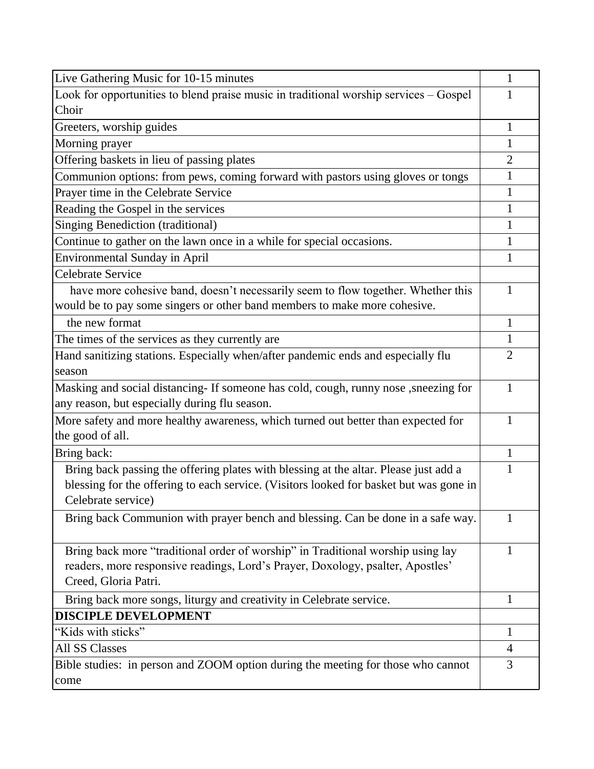| Live Gathering Music for 10-15 minutes                                                                                                                                                               | 1              |
|------------------------------------------------------------------------------------------------------------------------------------------------------------------------------------------------------|----------------|
| Look for opportunities to blend praise music in traditional worship services – Gospel                                                                                                                | 1              |
| Choir                                                                                                                                                                                                |                |
| Greeters, worship guides                                                                                                                                                                             | 1              |
| Morning prayer                                                                                                                                                                                       | $\mathbf{1}$   |
| Offering baskets in lieu of passing plates                                                                                                                                                           | $\overline{2}$ |
| Communion options: from pews, coming forward with pastors using gloves or tongs                                                                                                                      | 1              |
| Prayer time in the Celebrate Service                                                                                                                                                                 | 1              |
| Reading the Gospel in the services                                                                                                                                                                   | 1              |
| Singing Benediction (traditional)                                                                                                                                                                    | $\mathbf{1}$   |
| Continue to gather on the lawn once in a while for special occasions.                                                                                                                                | 1              |
| <b>Environmental Sunday in April</b>                                                                                                                                                                 | $\mathbf{1}$   |
| <b>Celebrate Service</b>                                                                                                                                                                             |                |
| have more cohesive band, doesn't necessarily seem to flow together. Whether this                                                                                                                     | 1              |
| would be to pay some singers or other band members to make more cohesive.                                                                                                                            |                |
| the new format                                                                                                                                                                                       | 1              |
| The times of the services as they currently are                                                                                                                                                      | $\mathbf{1}$   |
| Hand sanitizing stations. Especially when/after pandemic ends and especially flu                                                                                                                     | $\overline{2}$ |
| season                                                                                                                                                                                               |                |
| Masking and social distancing- If someone has cold, cough, runny nose , sneezing for                                                                                                                 | 1              |
| any reason, but especially during flu season.                                                                                                                                                        |                |
| More safety and more healthy awareness, which turned out better than expected for                                                                                                                    | 1              |
| the good of all.                                                                                                                                                                                     |                |
| Bring back:                                                                                                                                                                                          | 1              |
| Bring back passing the offering plates with blessing at the altar. Please just add a<br>blessing for the offering to each service. (Visitors looked for basket but was gone in<br>Celebrate service) | 1              |
| Bring back Communion with prayer bench and blessing. Can be done in a safe way.                                                                                                                      | 1              |
| Bring back more "traditional order of worship" in Traditional worship using lay<br>readers, more responsive readings, Lord's Prayer, Doxology, psalter, Apostles'<br>Creed, Gloria Patri.            | 1              |
| Bring back more songs, liturgy and creativity in Celebrate service.                                                                                                                                  | 1              |
| <b>DISCIPLE DEVELOPMENT</b>                                                                                                                                                                          |                |
| "Kids with sticks"                                                                                                                                                                                   | $\mathbf{1}$   |
| <b>All SS Classes</b>                                                                                                                                                                                | 4              |
| Bible studies: in person and ZOOM option during the meeting for those who cannot                                                                                                                     | 3              |
| come                                                                                                                                                                                                 |                |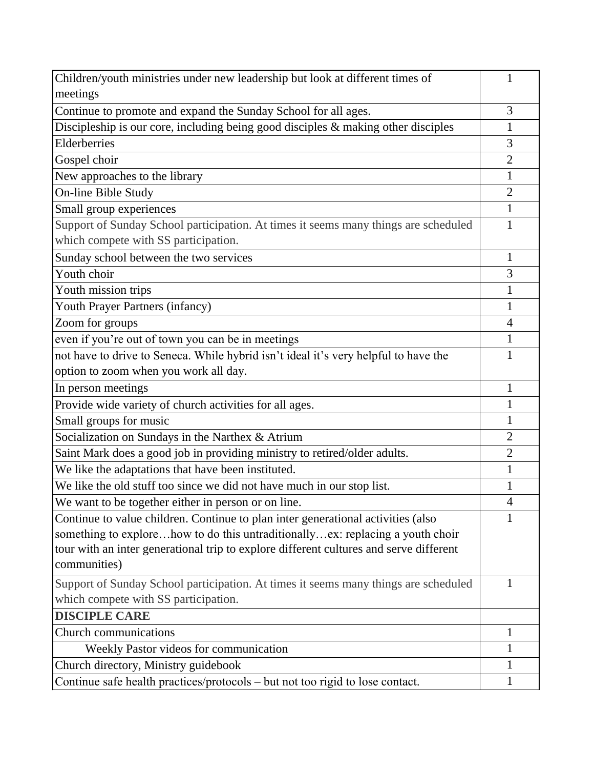| Children/youth ministries under new leadership but look at different times of          | 1                        |
|----------------------------------------------------------------------------------------|--------------------------|
| meetings                                                                               |                          |
| Continue to promote and expand the Sunday School for all ages.                         | 3                        |
| Discipleship is our core, including being good disciples $\&$ making other disciples   | 1                        |
| Elderberries                                                                           | 3                        |
| Gospel choir                                                                           | $\overline{2}$           |
| New approaches to the library                                                          | $\mathbf{1}$             |
| On-line Bible Study                                                                    | $\overline{2}$           |
| Small group experiences                                                                | 1                        |
| Support of Sunday School participation. At times it seems many things are scheduled    | 1                        |
| which compete with SS participation.                                                   |                          |
| Sunday school between the two services                                                 | 1                        |
| Youth choir                                                                            | 3                        |
| Youth mission trips                                                                    | 1                        |
| Youth Prayer Partners (infancy)                                                        | $\mathbf{1}$             |
| Zoom for groups                                                                        | $\overline{4}$           |
| even if you're out of town you can be in meetings                                      | 1                        |
| not have to drive to Seneca. While hybrid isn't ideal it's very helpful to have the    | 1                        |
| option to zoom when you work all day.                                                  |                          |
| In person meetings                                                                     | 1                        |
| Provide wide variety of church activities for all ages.                                | $\mathbf{1}$             |
| Small groups for music                                                                 | 1                        |
| Socialization on Sundays in the Narthex & Atrium                                       | $\overline{2}$           |
| Saint Mark does a good job in providing ministry to retired/older adults.              | $\overline{2}$           |
| We like the adaptations that have been instituted.                                     | $\mathbf{1}$             |
| We like the old stuff too since we did not have much in our stop list.                 | 1                        |
| We want to be together either in person or on line                                     | $\overline{\mathcal{A}}$ |
| Continue to value children. Continue to plan inter generational activities (also       | 1                        |
| something to explorehow to do this untraditionallyex: replacing a youth choir          |                          |
| tour with an inter generational trip to explore different cultures and serve different |                          |
| communities)                                                                           |                          |
| Support of Sunday School participation. At times it seems many things are scheduled    | 1                        |
| which compete with SS participation.                                                   |                          |
| <b>DISCIPLE CARE</b>                                                                   |                          |
| <b>Church communications</b>                                                           | $\mathbf{1}$             |
| Weekly Pastor videos for communication                                                 | 1                        |
| Church directory, Ministry guidebook                                                   | 1                        |
| Continue safe health practices/protocols – but not too rigid to lose contact.          | $\mathbf 1$              |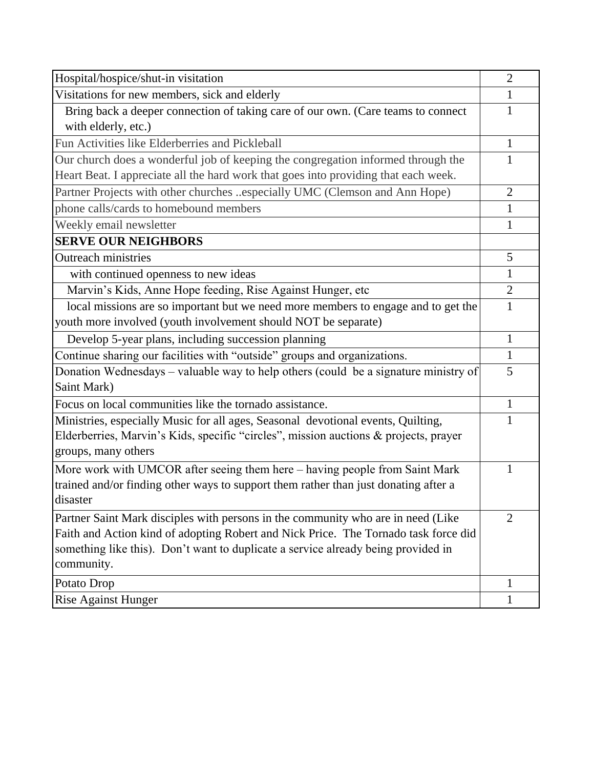| Hospital/hospice/shut-in visitation                                                  | $\overline{2}$ |
|--------------------------------------------------------------------------------------|----------------|
| Visitations for new members, sick and elderly                                        | $\mathbf{1}$   |
| Bring back a deeper connection of taking care of our own. (Care teams to connect     | 1              |
| with elderly, etc.)                                                                  |                |
| Fun Activities like Elderberries and Pickleball                                      | 1              |
| Our church does a wonderful job of keeping the congregation informed through the     |                |
| Heart Beat. I appreciate all the hard work that goes into providing that each week.  |                |
| Partner Projects with other churches especially UMC (Clemson and Ann Hope)           | $\overline{2}$ |
| phone calls/cards to homebound members                                               | $\mathbf{1}$   |
| Weekly email newsletter                                                              | 1              |
| <b>SERVE OUR NEIGHBORS</b>                                                           |                |
| <b>Outreach ministries</b>                                                           | 5              |
| with continued openness to new ideas                                                 | $\mathbf{1}$   |
| Marvin's Kids, Anne Hope feeding, Rise Against Hunger, etc                           | $\overline{2}$ |
| local missions are so important but we need more members to engage and to get the    | 1              |
| youth more involved (youth involvement should NOT be separate)                       |                |
| Develop 5-year plans, including succession planning                                  | $\mathbf{1}$   |
| Continue sharing our facilities with "outside" groups and organizations.             | 1              |
| Donation Wednesdays – valuable way to help others (could be a signature ministry of  | 5              |
| Saint Mark)                                                                          |                |
| Focus on local communities like the tornado assistance.                              | 1              |
| Ministries, especially Music for all ages, Seasonal devotional events, Quilting,     |                |
| Elderberries, Marvin's Kids, specific "circles", mission auctions & projects, prayer |                |
| groups, many others                                                                  |                |
| More work with UMCOR after seeing them here - having people from Saint Mark          | 1              |
| trained and/or finding other ways to support them rather than just donating after a  |                |
| disaster                                                                             |                |
| Partner Saint Mark disciples with persons in the community who are in need (Like     | $\overline{2}$ |
| Faith and Action kind of adopting Robert and Nick Price. The Tornado task force did  |                |
| something like this). Don't want to duplicate a service already being provided in    |                |
| community.                                                                           |                |
| Potato Drop                                                                          | 1              |
| <b>Rise Against Hunger</b>                                                           | $\mathbf{1}$   |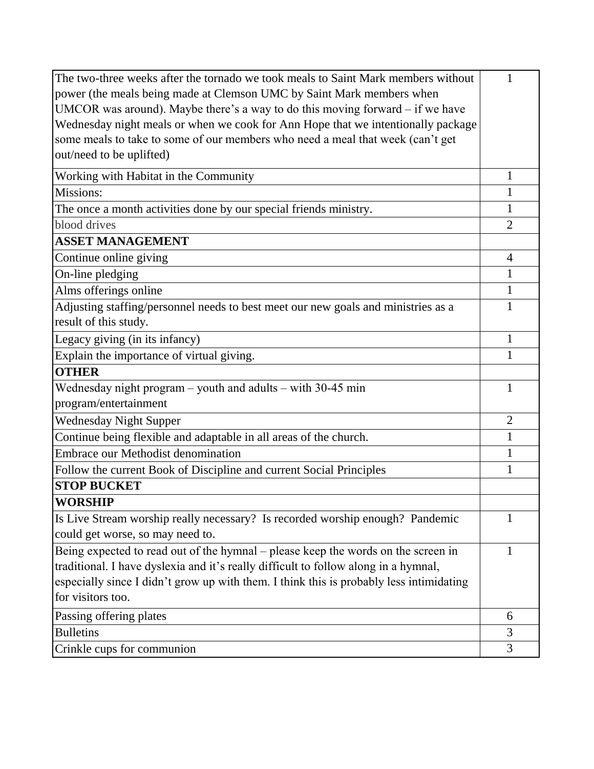| The two-three weeks after the tornado we took meals to Saint Mark members without       | 1              |
|-----------------------------------------------------------------------------------------|----------------|
| power (the meals being made at Clemson UMC by Saint Mark members when                   |                |
| UMCOR was around). Maybe there's a way to do this moving forward $-$ if we have         |                |
| Wednesday night meals or when we cook for Ann Hope that we intentionally package        |                |
| some meals to take to some of our members who need a meal that week (can't get          |                |
| out/need to be uplifted)                                                                |                |
| Working with Habitat in the Community                                                   | 1              |
| Missions:                                                                               | $\mathbf{1}$   |
| The once a month activities done by our special friends ministry.                       | $\mathbf{1}$   |
| blood drives                                                                            | $\overline{2}$ |
| <b>ASSET MANAGEMENT</b>                                                                 |                |
| Continue online giving                                                                  | $\overline{4}$ |
| On-line pledging                                                                        | $\mathbf{1}$   |
| Alms offerings online                                                                   | $\mathbf{1}$   |
| Adjusting staffing/personnel needs to best meet our new goals and ministries as a       | 1              |
| result of this study.                                                                   |                |
| Legacy giving (in its infancy)                                                          | 1              |
| Explain the importance of virtual giving.                                               | 1              |
| <b>OTHER</b>                                                                            |                |
| Wednesday night program $-$ youth and adults $-$ with 30-45 min                         | 1              |
| program/entertainment                                                                   |                |
| <b>Wednesday Night Supper</b>                                                           | $\overline{2}$ |
| Continue being flexible and adaptable in all areas of the church.                       | $\mathbf{1}$   |
| Embrace our Methodist denomination                                                      | $\mathbf{1}$   |
| Follow the current Book of Discipline and current Social Principles                     | 1              |
| <b>STOP BUCKET</b>                                                                      |                |
| <b>WORSHIP</b>                                                                          |                |
| Is Live Stream worship really necessary? Is recorded worship enough? Pandemic           | 1              |
| could get worse, so may need to.                                                        |                |
| Being expected to read out of the hymnal - please keep the words on the screen in       | 1              |
| traditional. I have dyslexia and it's really difficult to follow along in a hymnal,     |                |
| especially since I didn't grow up with them. I think this is probably less intimidating |                |
| for visitors too.                                                                       |                |
| Passing offering plates                                                                 | 6              |
| <b>Bulletins</b>                                                                        | 3              |
| Crinkle cups for communion                                                              | 3              |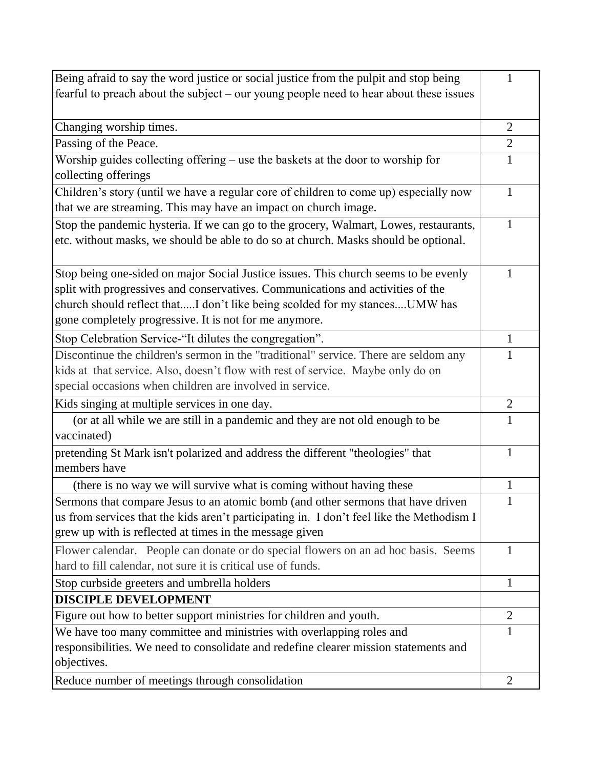| Being afraid to say the word justice or social justice from the pulpit and stop being                                                                                                                                                                                                                          | 1              |
|----------------------------------------------------------------------------------------------------------------------------------------------------------------------------------------------------------------------------------------------------------------------------------------------------------------|----------------|
| fearful to preach about the subject – our young people need to hear about these issues                                                                                                                                                                                                                         |                |
| Changing worship times.                                                                                                                                                                                                                                                                                        | $\overline{2}$ |
| Passing of the Peace.                                                                                                                                                                                                                                                                                          | $\overline{2}$ |
| Worship guides collecting offering – use the baskets at the door to worship for                                                                                                                                                                                                                                | 1              |
| collecting offerings                                                                                                                                                                                                                                                                                           |                |
| Children's story (until we have a regular core of children to come up) especially now                                                                                                                                                                                                                          | 1              |
| that we are streaming. This may have an impact on church image.                                                                                                                                                                                                                                                |                |
| Stop the pandemic hysteria. If we can go to the grocery, Walmart, Lowes, restaurants,<br>etc. without masks, we should be able to do so at church. Masks should be optional.                                                                                                                                   | 1              |
| Stop being one-sided on major Social Justice issues. This church seems to be evenly<br>split with progressives and conservatives. Communications and activities of the<br>church should reflect thatI don't like being scolded for my stancesUMW has<br>gone completely progressive. It is not for me anymore. | 1              |
| Stop Celebration Service-"It dilutes the congregation".                                                                                                                                                                                                                                                        | 1              |
| Discontinue the children's sermon in the "traditional" service. There are seldom any<br>kids at that service. Also, doesn't flow with rest of service. Maybe only do on<br>special occasions when children are involved in service.                                                                            | 1              |
| Kids singing at multiple services in one day.                                                                                                                                                                                                                                                                  | $\overline{2}$ |
| (or at all while we are still in a pandemic and they are not old enough to be<br>vaccinated)                                                                                                                                                                                                                   | 1              |
| pretending St Mark isn't polarized and address the different "theologies" that<br>members have                                                                                                                                                                                                                 | 1              |
| (there is no way we will survive what is coming without having these                                                                                                                                                                                                                                           | 1              |
| Sermons that compare Jesus to an atomic bomb (and other sermons that have driven<br>us from services that the kids aren't participating in. I don't feel like the Methodism I<br>grew up with is reflected at times in the message given                                                                       |                |
| Flower calendar. People can donate or do special flowers on an ad hoc basis. Seems<br>hard to fill calendar, not sure it is critical use of funds.                                                                                                                                                             | 1              |
| Stop curbside greeters and umbrella holders                                                                                                                                                                                                                                                                    | $\mathbf{1}$   |
| <b>DISCIPLE DEVELOPMENT</b>                                                                                                                                                                                                                                                                                    |                |
| Figure out how to better support ministries for children and youth.                                                                                                                                                                                                                                            | $\overline{2}$ |
| We have too many committee and ministries with overlapping roles and                                                                                                                                                                                                                                           | 1              |
| responsibilities. We need to consolidate and redefine clearer mission statements and<br>objectives.                                                                                                                                                                                                            |                |
| Reduce number of meetings through consolidation                                                                                                                                                                                                                                                                | $\overline{2}$ |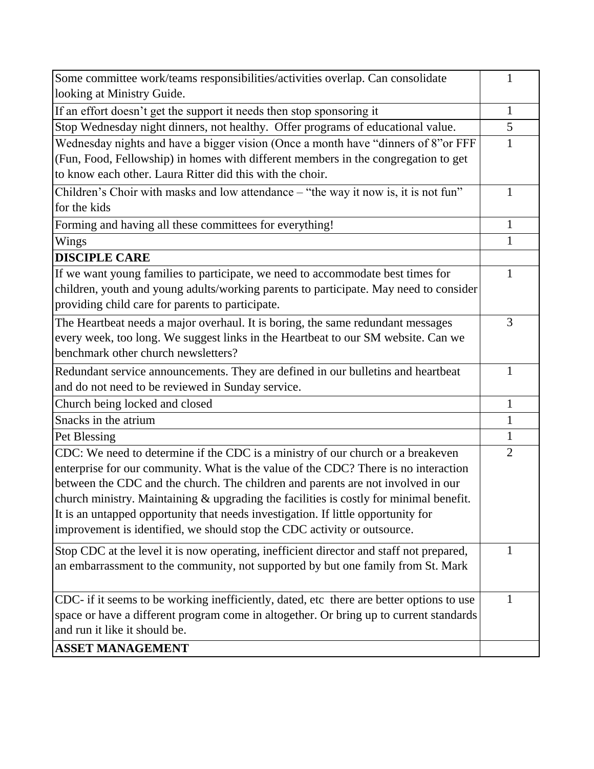| Some committee work/teams responsibilities/activities overlap. Can consolidate           | $\mathbf{1}$   |
|------------------------------------------------------------------------------------------|----------------|
| looking at Ministry Guide.                                                               |                |
| If an effort doesn't get the support it needs then stop sponsoring it                    | $\mathbf{1}$   |
| Stop Wednesday night dinners, not healthy. Offer programs of educational value.          | 5              |
| Wednesday nights and have a bigger vision (Once a month have "dinners of 8"or FFF        | 1              |
| (Fun, Food, Fellowship) in homes with different members in the congregation to get       |                |
| to know each other. Laura Ritter did this with the choir.                                |                |
| Children's Choir with masks and low attendance – "the way it now is, it is not fun"      | 1              |
| for the kids                                                                             |                |
| Forming and having all these committees for everything!                                  | 1              |
| Wings                                                                                    | 1              |
| <b>DISCIPLE CARE</b>                                                                     |                |
| If we want young families to participate, we need to accommodate best times for          | 1              |
| children, youth and young adults/working parents to participate. May need to consider    |                |
| providing child care for parents to participate.                                         |                |
| The Heartbeat needs a major overhaul. It is boring, the same redundant messages          | 3              |
| every week, too long. We suggest links in the Heartbeat to our SM website. Can we        |                |
| benchmark other church newsletters?                                                      |                |
| Redundant service announcements. They are defined in our bulletins and heartbeat         | $\mathbf{1}$   |
| and do not need to be reviewed in Sunday service.                                        |                |
| Church being locked and closed                                                           | 1              |
| Snacks in the atrium                                                                     | 1              |
| Pet Blessing                                                                             | 1              |
| CDC: We need to determine if the CDC is a ministry of our church or a breakeven          | $\overline{2}$ |
| enterprise for our community. What is the value of the CDC? There is no interaction      |                |
| between the CDC and the church. The children and parents are not involved in our         |                |
| church ministry. Maintaining & upgrading the facilities is costly for minimal benefit.   |                |
| It is an untapped opportunity that needs investigation. If little opportunity for        |                |
| improvement is identified, we should stop the CDC activity or outsource.                 |                |
| Stop CDC at the level it is now operating, inefficient director and staff not prepared,  | $\mathbf{1}$   |
| an embarrassment to the community, not supported by but one family from St. Mark         |                |
|                                                                                          |                |
| CDC- if it seems to be working inefficiently, dated, etc there are better options to use | 1              |
| space or have a different program come in altogether. Or bring up to current standards   |                |
| and run it like it should be.                                                            |                |
| <b>ASSET MANAGEMENT</b>                                                                  |                |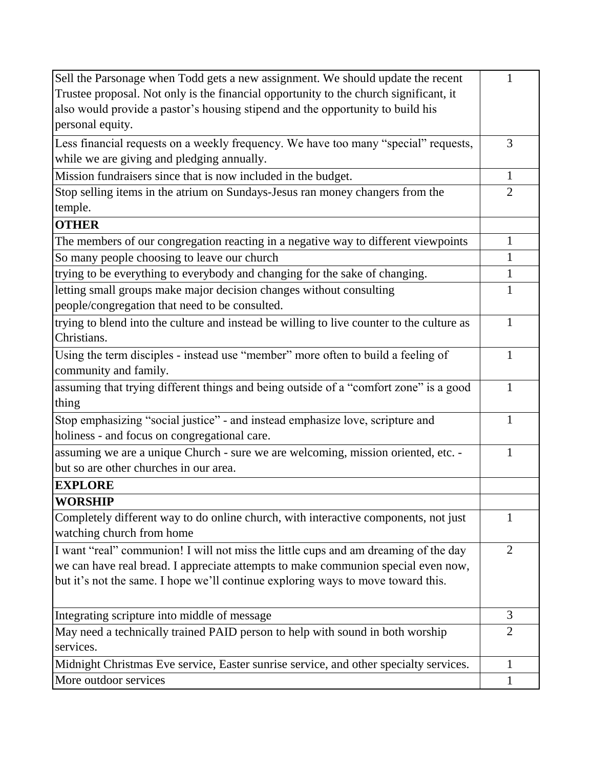| Sell the Parsonage when Todd gets a new assignment. We should update the recent           | 1              |
|-------------------------------------------------------------------------------------------|----------------|
| Trustee proposal. Not only is the financial opportunity to the church significant, it     |                |
| also would provide a pastor's housing stipend and the opportunity to build his            |                |
| personal equity.                                                                          |                |
| Less financial requests on a weekly frequency. We have too many "special" requests,       | 3              |
| while we are giving and pledging annually.                                                |                |
| Mission fundraisers since that is now included in the budget.                             | 1              |
| Stop selling items in the atrium on Sundays-Jesus ran money changers from the             | $\overline{2}$ |
| temple.                                                                                   |                |
| <b>OTHER</b>                                                                              |                |
| The members of our congregation reacting in a negative way to different viewpoints        | 1              |
| So many people choosing to leave our church                                               | $\mathbf{1}$   |
| trying to be everything to everybody and changing for the sake of changing.               | $\mathbf{1}$   |
| letting small groups make major decision changes without consulting                       | 1              |
| people/congregation that need to be consulted.                                            |                |
| trying to blend into the culture and instead be willing to live counter to the culture as | 1              |
| Christians.                                                                               |                |
| Using the term disciples - instead use "member" more often to build a feeling of          | $\mathbf{1}$   |
| community and family.                                                                     |                |
| assuming that trying different things and being outside of a "comfort zone" is a good     | 1              |
| thing                                                                                     |                |
| Stop emphasizing "social justice" - and instead emphasize love, scripture and             | 1              |
| holiness - and focus on congregational care.                                              |                |
| assuming we are a unique Church - sure we are welcoming, mission oriented, etc. -         | 1              |
| but so are other churches in our area.                                                    |                |
| <b>EXPLORE</b>                                                                            |                |
| <b>WORSHIP</b>                                                                            |                |
| Completely different way to do online church, with interactive components, not just       | 1              |
| watching church from home                                                                 |                |
| I want "real" communion! I will not miss the little cups and am dreaming of the day       | $\overline{2}$ |
| we can have real bread. I appreciate attempts to make communion special even now,         |                |
| but it's not the same. I hope we'll continue exploring ways to move toward this.          |                |
|                                                                                           |                |
| Integrating scripture into middle of message                                              | 3              |
| May need a technically trained PAID person to help with sound in both worship             | $\overline{2}$ |
| services.                                                                                 |                |
| Midnight Christmas Eve service, Easter sunrise service, and other specialty services.     | $\mathbf{1}$   |
| More outdoor services                                                                     | 1              |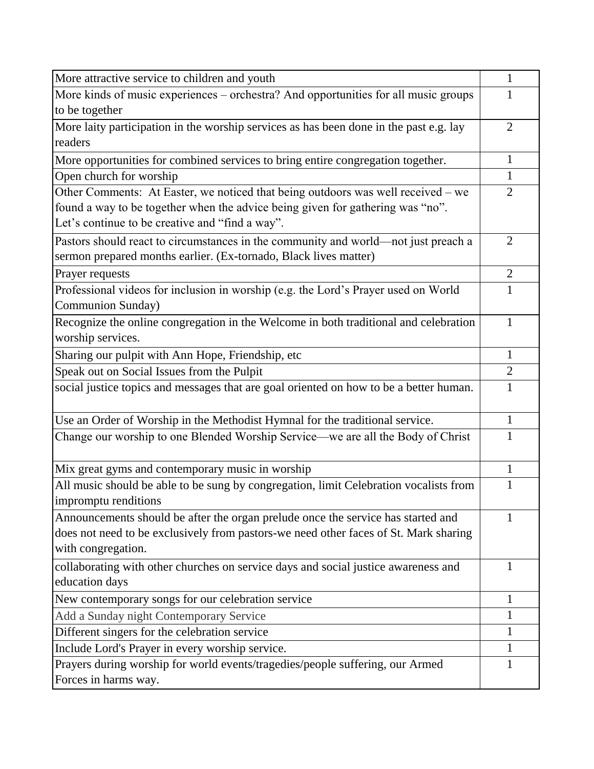| More attractive service to children and youth                                                                                                                                                                         | $\mathbf{1}$   |
|-----------------------------------------------------------------------------------------------------------------------------------------------------------------------------------------------------------------------|----------------|
| More kinds of music experiences – orchestra? And opportunities for all music groups<br>to be together                                                                                                                 | 1              |
| More laity participation in the worship services as has been done in the past e.g. lay<br>readers                                                                                                                     | $\overline{2}$ |
| More opportunities for combined services to bring entire congregation together.                                                                                                                                       | $\mathbf 1$    |
| Open church for worship                                                                                                                                                                                               | $\mathbf{1}$   |
| Other Comments: At Easter, we noticed that being outdoors was well received – we<br>found a way to be together when the advice being given for gathering was "no".<br>Let's continue to be creative and "find a way". | $\overline{2}$ |
| Pastors should react to circumstances in the community and world—not just preach a<br>sermon prepared months earlier. (Ex-tornado, Black lives matter)                                                                | 2              |
| Prayer requests                                                                                                                                                                                                       | $\overline{2}$ |
| Professional videos for inclusion in worship (e.g. the Lord's Prayer used on World<br>Communion Sunday)                                                                                                               | $\mathbf{1}$   |
| Recognize the online congregation in the Welcome in both traditional and celebration<br>worship services.                                                                                                             | 1              |
| Sharing our pulpit with Ann Hope, Friendship, etc                                                                                                                                                                     | 1              |
| Speak out on Social Issues from the Pulpit                                                                                                                                                                            | $\overline{2}$ |
| social justice topics and messages that are goal oriented on how to be a better human.                                                                                                                                | $\mathbf{1}$   |
| Use an Order of Worship in the Methodist Hymnal for the traditional service.                                                                                                                                          | $\mathbf{1}$   |
| Change our worship to one Blended Worship Service—we are all the Body of Christ                                                                                                                                       | 1              |
| Mix great gyms and contemporary music in worship                                                                                                                                                                      | $\mathbf{1}$   |
| All music should be able to be sung by congregation, limit Celebration vocalists from<br>impromptu renditions                                                                                                         | 1              |
| Announcements should be after the organ prelude once the service has started and<br>does not need to be exclusively from pastors-we need other faces of St. Mark sharing<br>with congregation.                        |                |
| collaborating with other churches on service days and social justice awareness and<br>education days                                                                                                                  | 1              |
| New contemporary songs for our celebration service                                                                                                                                                                    | 1              |
| Add a Sunday night Contemporary Service                                                                                                                                                                               | 1              |
| Different singers for the celebration service                                                                                                                                                                         | 1              |
| Include Lord's Prayer in every worship service.                                                                                                                                                                       | 1              |
| Prayers during worship for world events/tragedies/people suffering, our Armed<br>Forces in harms way.                                                                                                                 | 1              |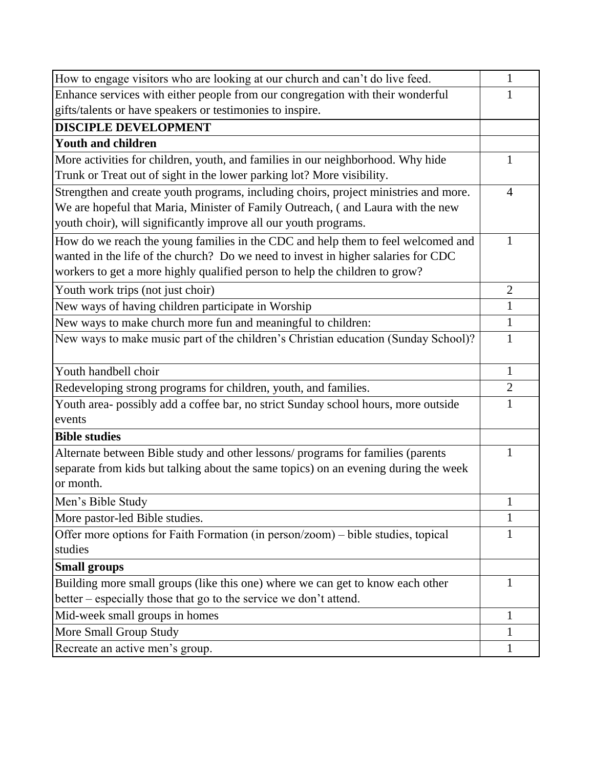| How to engage visitors who are looking at our church and can't do live feed.         | 1              |
|--------------------------------------------------------------------------------------|----------------|
| Enhance services with either people from our congregation with their wonderful       | 1              |
| gifts/talents or have speakers or testimonies to inspire.                            |                |
| <b>DISCIPLE DEVELOPMENT</b>                                                          |                |
| <b>Youth and children</b>                                                            |                |
| More activities for children, youth, and families in our neighborhood. Why hide      | 1              |
| Trunk or Treat out of sight in the lower parking lot? More visibility.               |                |
| Strengthen and create youth programs, including choirs, project ministries and more. | $\overline{4}$ |
| We are hopeful that Maria, Minister of Family Outreach, (and Laura with the new      |                |
| youth choir), will significantly improve all our youth programs.                     |                |
| How do we reach the young families in the CDC and help them to feel welcomed and     | 1              |
| wanted in the life of the church? Do we need to invest in higher salaries for CDC    |                |
| workers to get a more highly qualified person to help the children to grow?          |                |
| Youth work trips (not just choir)                                                    | $\overline{2}$ |
| New ways of having children participate in Worship                                   | $\mathbf{1}$   |
| New ways to make church more fun and meaningful to children:                         | $\mathbf{1}$   |
| New ways to make music part of the children's Christian education (Sunday School)?   | $\mathbf{1}$   |
| Youth handbell choir                                                                 | 1              |
| Redeveloping strong programs for children, youth, and families.                      | $\overline{2}$ |
| Youth area- possibly add a coffee bar, no strict Sunday school hours, more outside   | $\mathbf{1}$   |
| events                                                                               |                |
| <b>Bible studies</b>                                                                 |                |
| Alternate between Bible study and other lessons/ programs for families (parents      | 1              |
| separate from kids but talking about the same topics) on an evening during the week  |                |
| or month.                                                                            |                |
| Men's Bible Study                                                                    |                |
| More pastor-led Bible studies.                                                       | 1              |
| Offer more options for Faith Formation (in person/zoom) – bible studies, topical     | 1              |
| studies                                                                              |                |
| <b>Small groups</b>                                                                  |                |
| Building more small groups (like this one) where we can get to know each other       | 1              |
| better – especially those that go to the service we don't attend.                    |                |
| Mid-week small groups in homes                                                       | 1              |
| More Small Group Study                                                               | $\mathbf 1$    |
| Recreate an active men's group.                                                      | $\mathbf{1}$   |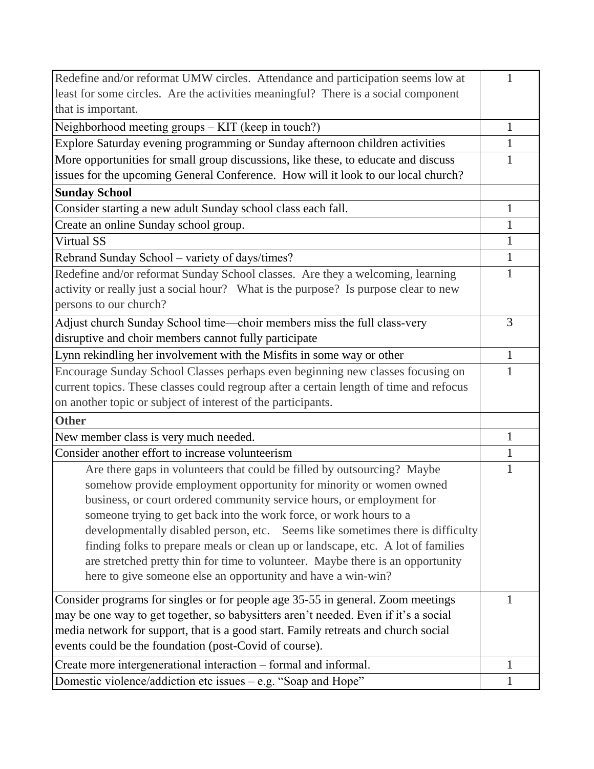| Redefine and/or reformat UMW circles. Attendance and participation seems low at        | 1            |
|----------------------------------------------------------------------------------------|--------------|
| least for some circles. Are the activities meaningful? There is a social component     |              |
| that is important.                                                                     |              |
| Neighborhood meeting groups – KIT (keep in touch?)                                     | 1            |
| Explore Saturday evening programming or Sunday afternoon children activities           | 1            |
| More opportunities for small group discussions, like these, to educate and discuss     | 1            |
| issues for the upcoming General Conference. How will it look to our local church?      |              |
| <b>Sunday School</b>                                                                   |              |
| Consider starting a new adult Sunday school class each fall.                           | 1            |
| Create an online Sunday school group.                                                  | 1            |
| Virtual SS                                                                             | 1            |
| Rebrand Sunday School - variety of days/times?                                         | $\mathbf{1}$ |
| Redefine and/or reformat Sunday School classes. Are they a welcoming, learning         | $\mathbf{1}$ |
| activity or really just a social hour? What is the purpose? Is purpose clear to new    |              |
| persons to our church?                                                                 |              |
| Adjust church Sunday School time—choir members miss the full class-very                | 3            |
| disruptive and choir members cannot fully participate                                  |              |
| Lynn rekindling her involvement with the Misfits in some way or other                  | 1            |
| Encourage Sunday School Classes perhaps even beginning new classes focusing on         | 1            |
| current topics. These classes could regroup after a certain length of time and refocus |              |
| on another topic or subject of interest of the participants.                           |              |
| <b>Other</b>                                                                           |              |
| New member class is very much needed.                                                  | 1            |
| Consider another effort to increase volunteerism                                       | $\mathbf{1}$ |
| Are there gaps in volunteers that could be filled by outsourcing? Maybe                | 1            |
| somehow provide employment opportunity for minority or women owned                     |              |
| business, or court ordered community service hours, or employment for                  |              |
| someone trying to get back into the work force, or work hours to a                     |              |
| developmentally disabled person, etc. Seems like sometimes there is difficulty         |              |
| finding folks to prepare meals or clean up or landscape, etc. A lot of families        |              |
| are stretched pretty thin for time to volunteer. Maybe there is an opportunity         |              |
| here to give someone else an opportunity and have a win-win?                           |              |
| Consider programs for singles or for people age 35-55 in general. Zoom meetings        | 1            |
| may be one way to get together, so babysitters aren't needed. Even if it's a social    |              |
| media network for support, that is a good start. Family retreats and church social     |              |
| events could be the foundation (post-Covid of course).                                 |              |
| Create more intergenerational interaction - formal and informal.                       | $\mathbf{1}$ |
| Domestic violence/addiction etc issues – e.g. "Soap and Hope"                          | $\mathbf{1}$ |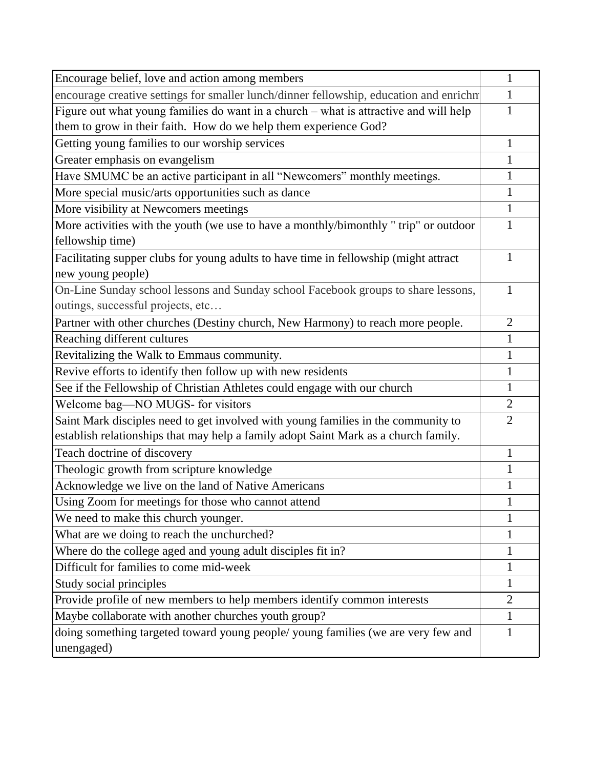| Encourage belief, love and action among members                                                                                                                          | $\mathbf{1}$   |
|--------------------------------------------------------------------------------------------------------------------------------------------------------------------------|----------------|
| encourage creative settings for smaller lunch/dinner fellowship, education and enrichn                                                                                   | 1              |
| Figure out what young families do want in a church – what is attractive and will help                                                                                    | $\mathbf{1}$   |
| them to grow in their faith. How do we help them experience God?                                                                                                         |                |
| Getting young families to our worship services                                                                                                                           | $\mathbf{1}$   |
| Greater emphasis on evangelism                                                                                                                                           | 1              |
| Have SMUMC be an active participant in all "Newcomers" monthly meetings.                                                                                                 | 1              |
| More special music/arts opportunities such as dance                                                                                                                      | $\mathbf{1}$   |
| More visibility at Newcomers meetings                                                                                                                                    | $\mathbf{1}$   |
| More activities with the youth (we use to have a monthly/bimonthly "trip" or outdoor                                                                                     | 1              |
| fellowship time)                                                                                                                                                         |                |
| Facilitating supper clubs for young adults to have time in fellowship (might attract<br>new young people)                                                                | 1              |
| On-Line Sunday school lessons and Sunday school Facebook groups to share lessons,<br>outings, successful projects, etc                                                   | 1              |
| Partner with other churches (Destiny church, New Harmony) to reach more people.                                                                                          | $\overline{2}$ |
| Reaching different cultures                                                                                                                                              | $\mathbf{1}$   |
| Revitalizing the Walk to Emmaus community.                                                                                                                               | $\mathbf{1}$   |
| Revive efforts to identify then follow up with new residents                                                                                                             | 1              |
| See if the Fellowship of Christian Athletes could engage with our church                                                                                                 | $\mathbf{1}$   |
| Welcome bag-NO MUGS- for visitors                                                                                                                                        | $\overline{2}$ |
| Saint Mark disciples need to get involved with young families in the community to<br>establish relationships that may help a family adopt Saint Mark as a church family. | $\overline{2}$ |
| Teach doctrine of discovery                                                                                                                                              | 1              |
| Theologic growth from scripture knowledge                                                                                                                                | $\mathbf{1}$   |
| Acknowledge we live on the land of Native Americans                                                                                                                      | 1              |
| Using Zoom for meetings for those who cannot attend                                                                                                                      |                |
| We need to make this church younger.                                                                                                                                     |                |
| What are we doing to reach the unchurched?                                                                                                                               |                |
| Where do the college aged and young adult disciples fit in?                                                                                                              | 1              |
| Difficult for families to come mid-week                                                                                                                                  | 1              |
| Study social principles                                                                                                                                                  | 1              |
| Provide profile of new members to help members identify common interests                                                                                                 | $\overline{2}$ |
| Maybe collaborate with another churches youth group?                                                                                                                     | 1              |
| doing something targeted toward young people/ young families (we are very few and<br>unengaged)                                                                          | $\mathbf{1}$   |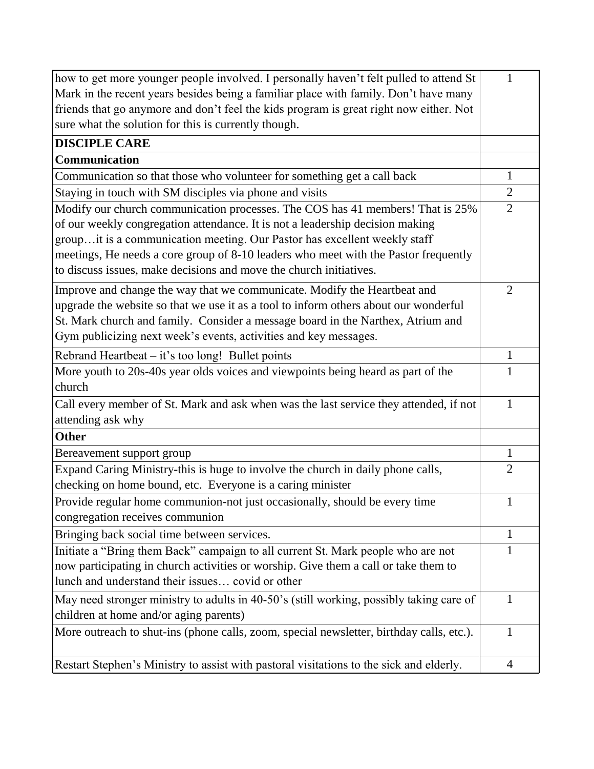| how to get more younger people involved. I personally haven't felt pulled to attend St                                                                                         | 1              |
|--------------------------------------------------------------------------------------------------------------------------------------------------------------------------------|----------------|
| Mark in the recent years besides being a familiar place with family. Don't have many<br>friends that go anymore and don't feel the kids program is great right now either. Not |                |
| sure what the solution for this is currently though.                                                                                                                           |                |
|                                                                                                                                                                                |                |
| <b>DISCIPLE CARE</b>                                                                                                                                                           |                |
| Communication                                                                                                                                                                  |                |
| Communication so that those who volunteer for something get a call back                                                                                                        | 1              |
| Staying in touch with SM disciples via phone and visits                                                                                                                        | $\overline{2}$ |
| Modify our church communication processes. The COS has 41 members! That is 25%                                                                                                 | $\overline{2}$ |
| of our weekly congregation attendance. It is not a leadership decision making                                                                                                  |                |
| groupit is a communication meeting. Our Pastor has excellent weekly staff                                                                                                      |                |
| meetings, He needs a core group of 8-10 leaders who meet with the Pastor frequently                                                                                            |                |
| to discuss issues, make decisions and move the church initiatives.                                                                                                             |                |
| Improve and change the way that we communicate. Modify the Heartbeat and                                                                                                       | $\overline{2}$ |
| upgrade the website so that we use it as a tool to inform others about our wonderful                                                                                           |                |
| St. Mark church and family. Consider a message board in the Narthex, Atrium and                                                                                                |                |
| Gym publicizing next week's events, activities and key messages.                                                                                                               |                |
| Rebrand Heartbeat $-$ it's too long! Bullet points                                                                                                                             | 1              |
| More youth to 20s-40s year olds voices and viewpoints being heard as part of the                                                                                               | 1              |
| church                                                                                                                                                                         |                |
| Call every member of St. Mark and ask when was the last service they attended, if not                                                                                          | 1              |
| attending ask why                                                                                                                                                              |                |
| <b>Other</b>                                                                                                                                                                   |                |
| Bereavement support group                                                                                                                                                      | $\mathbf{1}$   |
| Expand Caring Ministry-this is huge to involve the church in daily phone calls,                                                                                                | $\overline{2}$ |
| checking on home bound, etc. Everyone is a caring minister                                                                                                                     |                |
| Provide regular home communion-not just occasionally, should be every time                                                                                                     |                |
| congregation receives communion                                                                                                                                                |                |
| Bringing back social time between services.                                                                                                                                    | 1              |
| Initiate a "Bring them Back" campaign to all current St. Mark people who are not                                                                                               | 1              |
| now participating in church activities or worship. Give them a call or take them to                                                                                            |                |
| lunch and understand their issues covid or other                                                                                                                               |                |
| May need stronger ministry to adults in 40-50's (still working, possibly taking care of                                                                                        | 1              |
| children at home and/or aging parents)                                                                                                                                         |                |
| More outreach to shut-ins (phone calls, zoom, special newsletter, birthday calls, etc.).                                                                                       | 1              |
|                                                                                                                                                                                |                |
| Restart Stephen's Ministry to assist with pastoral visitations to the sick and elderly.                                                                                        | $\overline{4}$ |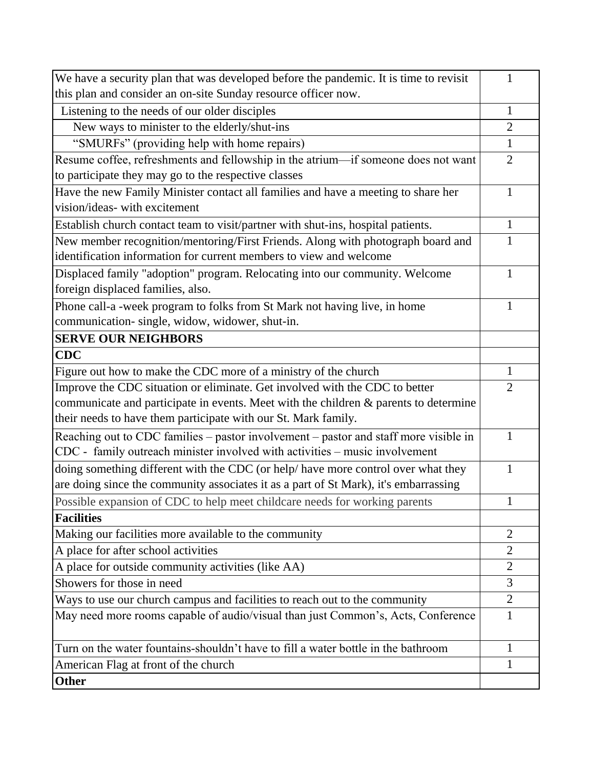| We have a security plan that was developed before the pandemic. It is time to revisit   | 1              |
|-----------------------------------------------------------------------------------------|----------------|
| this plan and consider an on-site Sunday resource officer now.                          |                |
| Listening to the needs of our older disciples                                           | $\mathbf{1}$   |
| New ways to minister to the elderly/shut-ins                                            | $\overline{2}$ |
| "SMURFs" (providing help with home repairs)                                             | $\mathbf{1}$   |
| Resume coffee, refreshments and fellowship in the atrium-if someone does not want       | $\overline{2}$ |
| to participate they may go to the respective classes                                    |                |
| Have the new Family Minister contact all families and have a meeting to share her       | 1              |
| vision/ideas- with excitement                                                           |                |
| Establish church contact team to visit/partner with shut-ins, hospital patients.        | $\mathbf{1}$   |
| New member recognition/mentoring/First Friends. Along with photograph board and         |                |
| identification information for current members to view and welcome                      |                |
| Displaced family "adoption" program. Relocating into our community. Welcome             | 1              |
| foreign displaced families, also.                                                       |                |
| Phone call-a -week program to folks from St Mark not having live, in home               | $\mathbf{1}$   |
| communication- single, widow, widower, shut-in.                                         |                |
| <b>SERVE OUR NEIGHBORS</b>                                                              |                |
| <b>CDC</b>                                                                              |                |
| Figure out how to make the CDC more of a ministry of the church                         | $\mathbf{1}$   |
| Improve the CDC situation or eliminate. Get involved with the CDC to better             | $\overline{2}$ |
| communicate and participate in events. Meet with the children $\&$ parents to determine |                |
| their needs to have them participate with our St. Mark family.                          |                |
| Reaching out to CDC families – pastor involvement – pastor and staff more visible in    | 1              |
| CDC - family outreach minister involved with activities – music involvement             |                |
| doing something different with the CDC (or help/ have more control over what they       | 1              |
| are doing since the community associates it as a part of St Mark), it's embarrassing    |                |
| Possible expansion of CDC to help meet childcare needs for working parents              |                |
| <b>Facilities</b>                                                                       |                |
| Making our facilities more available to the community                                   | $\overline{2}$ |
| A place for after school activities                                                     | $\overline{2}$ |
| A place for outside community activities (like AA)                                      | $\overline{2}$ |
| Showers for those in need                                                               | 3              |
| Ways to use our church campus and facilities to reach out to the community              | $\overline{2}$ |
| May need more rooms capable of audio/visual than just Common's, Acts, Conference        | $\mathbf{1}$   |
| Turn on the water fountains-shouldn't have to fill a water bottle in the bathroom       | 1              |
| American Flag at front of the church                                                    | 1              |
| <b>Other</b>                                                                            |                |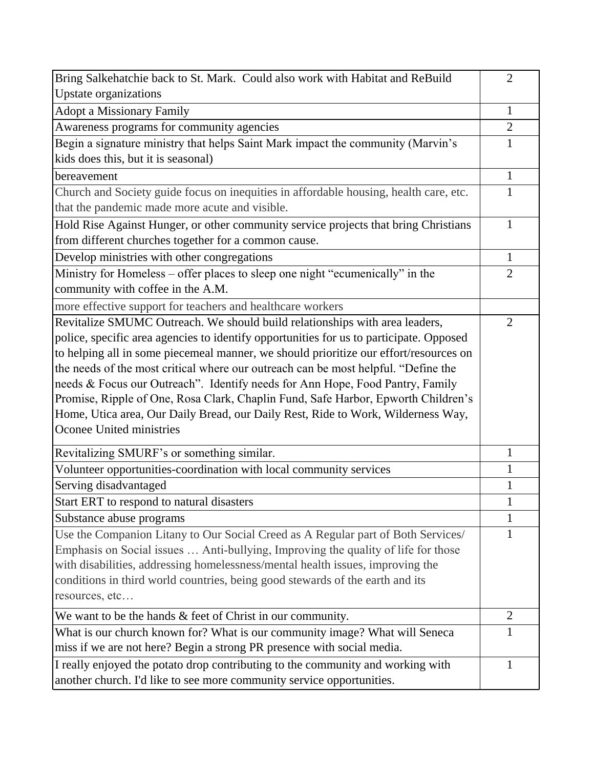| Bring Salkehatchie back to St. Mark. Could also work with Habitat and ReBuild           | $\overline{2}$ |
|-----------------------------------------------------------------------------------------|----------------|
| <b>Upstate organizations</b>                                                            |                |
| <b>Adopt a Missionary Family</b>                                                        | 1              |
| Awareness programs for community agencies                                               | $\overline{2}$ |
| Begin a signature ministry that helps Saint Mark impact the community (Marvin's         | $\mathbf{1}$   |
| kids does this, but it is seasonal)                                                     |                |
| bereavement                                                                             | 1              |
| Church and Society guide focus on inequities in affordable housing, health care, etc.   | 1              |
| that the pandemic made more acute and visible.                                          |                |
| Hold Rise Against Hunger, or other community service projects that bring Christians     | 1              |
| from different churches together for a common cause.                                    |                |
| Develop ministries with other congregations                                             | $\mathbf{1}$   |
| Ministry for Homeless – offer places to sleep one night "ecumenically" in the           | $\overline{2}$ |
| community with coffee in the A.M.                                                       |                |
| more effective support for teachers and healthcare workers                              |                |
| Revitalize SMUMC Outreach. We should build relationships with area leaders,             | $\overline{2}$ |
| police, specific area agencies to identify opportunities for us to participate. Opposed |                |
| to helping all in some piecemeal manner, we should prioritize our effort/resources on   |                |
| the needs of the most critical where our outreach can be most helpful. "Define the      |                |
| needs & Focus our Outreach". Identify needs for Ann Hope, Food Pantry, Family           |                |
| Promise, Ripple of One, Rosa Clark, Chaplin Fund, Safe Harbor, Epworth Children's       |                |
| Home, Utica area, Our Daily Bread, our Daily Rest, Ride to Work, Wilderness Way,        |                |
| Oconee United ministries                                                                |                |
| Revitalizing SMURF's or something similar.                                              | 1              |
| Volunteer opportunities-coordination with local community services                      | $\mathbf{1}$   |
| Serving disadvantaged                                                                   | 1              |
| Start ERT to respond to natural disasters                                               |                |
| Substance abuse programs                                                                | $\mathbf{1}$   |
| Use the Companion Litany to Our Social Creed as A Regular part of Both Services/        | 1              |
| Emphasis on Social issues  Anti-bullying, Improving the quality of life for those       |                |
| with disabilities, addressing homelessness/mental health issues, improving the          |                |
| conditions in third world countries, being good stewards of the earth and its           |                |
| resources, etc                                                                          |                |
| We want to be the hands $&$ feet of Christ in our community.                            | $\overline{2}$ |
| What is our church known for? What is our community image? What will Seneca             | 1              |
| miss if we are not here? Begin a strong PR presence with social media.                  |                |
| I really enjoyed the potato drop contributing to the community and working with         | 1              |
| another church. I'd like to see more community service opportunities.                   |                |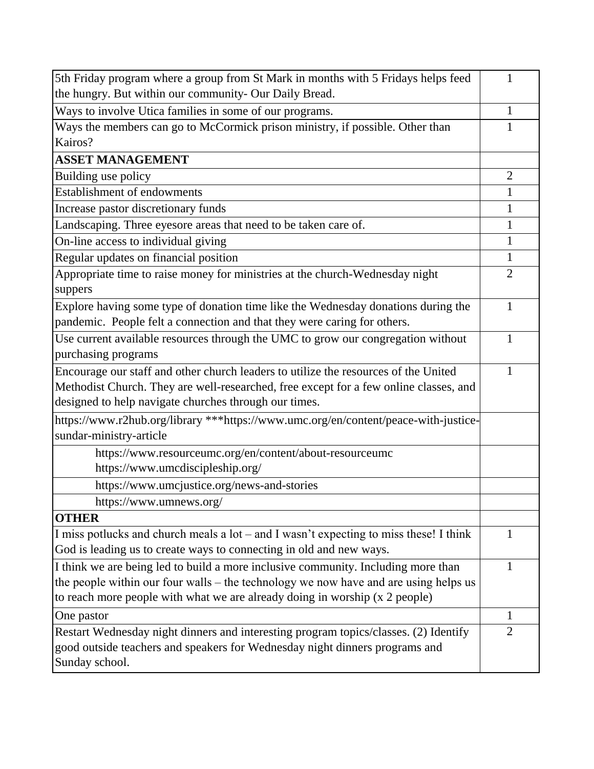| 5th Friday program where a group from St Mark in months with 5 Fridays helps feed             | 1              |
|-----------------------------------------------------------------------------------------------|----------------|
| the hungry. But within our community- Our Daily Bread.                                        |                |
| Ways to involve Utica families in some of our programs.                                       | 1              |
| Ways the members can go to McCormick prison ministry, if possible. Other than                 | 1              |
| Kairos?                                                                                       |                |
| <b>ASSET MANAGEMENT</b>                                                                       |                |
| Building use policy                                                                           | $\overline{2}$ |
| Establishment of endowments                                                                   | 1              |
| Increase pastor discretionary funds                                                           | 1              |
| Landscaping. Three eyesore areas that need to be taken care of.                               | 1              |
| On-line access to individual giving                                                           | $\mathbf{1}$   |
| Regular updates on financial position                                                         | 1              |
| Appropriate time to raise money for ministries at the church-Wednesday night<br>suppers       | $\overline{2}$ |
| Explore having some type of donation time like the Wednesday donations during the             | 1              |
| pandemic. People felt a connection and that they were caring for others.                      |                |
| Use current available resources through the UMC to grow our congregation without              | 1              |
| purchasing programs                                                                           |                |
| Encourage our staff and other church leaders to utilize the resources of the United           |                |
| Methodist Church. They are well-researched, free except for a few online classes, and         |                |
| designed to help navigate churches through our times.                                         |                |
| https://www.r2hub.org/library ***https://www.umc.org/en/content/peace-with-justice-           |                |
| sundar-ministry-article                                                                       |                |
| https://www.resourceumc.org/en/content/about-resourceumc                                      |                |
| https://www.umcdiscipleship.org/                                                              |                |
| https://www.umcjustice.org/news-and-stories                                                   |                |
| https://www.umnews.org/                                                                       |                |
| <b>OTHER</b>                                                                                  |                |
| I miss potlucks and church meals a lot – and I wasn't expecting to miss these! I think        | 1              |
| God is leading us to create ways to connecting in old and new ways.                           |                |
| I think we are being led to build a more inclusive community. Including more than             | 1              |
| the people within our four walls – the technology we now have and are using helps us          |                |
| to reach more people with what we are already doing in worship (x 2 people)                   |                |
| One pastor                                                                                    | 1              |
| Restart Wednesday night dinners and interesting program topics/classes. (2) Identify          | $\overline{2}$ |
| good outside teachers and speakers for Wednesday night dinners programs and<br>Sunday school. |                |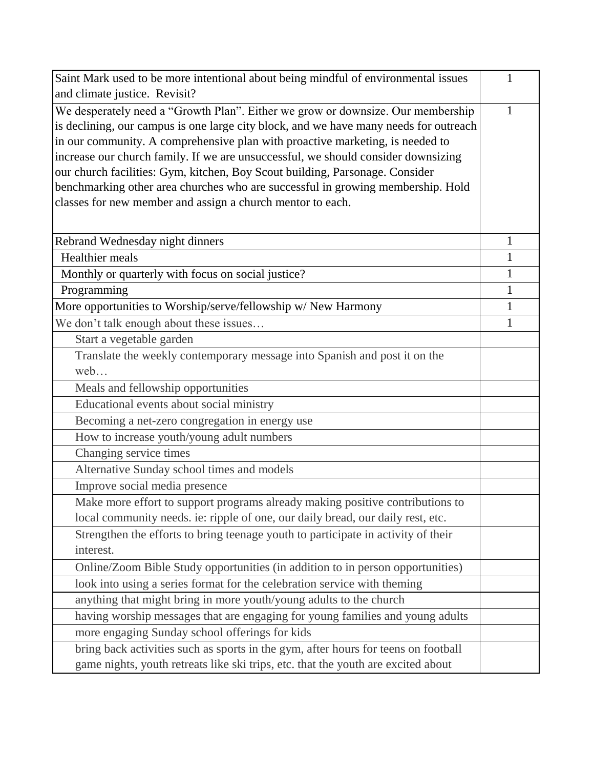| Saint Mark used to be more intentional about being mindful of environmental issues    |              |
|---------------------------------------------------------------------------------------|--------------|
| and climate justice. Revisit?                                                         |              |
| We desperately need a "Growth Plan". Either we grow or downsize. Our membership       | 1            |
| is declining, our campus is one large city block, and we have many needs for outreach |              |
| in our community. A comprehensive plan with proactive marketing, is needed to         |              |
| increase our church family. If we are unsuccessful, we should consider downsizing     |              |
| our church facilities: Gym, kitchen, Boy Scout building, Parsonage. Consider          |              |
| benchmarking other area churches who are successful in growing membership. Hold       |              |
| classes for new member and assign a church mentor to each.                            |              |
|                                                                                       |              |
| Rebrand Wednesday night dinners                                                       | 1            |
| Healthier meals                                                                       | 1            |
| Monthly or quarterly with focus on social justice?                                    | $\mathbf{1}$ |
| Programming                                                                           | 1            |
| More opportunities to Worship/serve/fellowship w/ New Harmony                         | 1            |
| We don't talk enough about these issues                                               | 1            |
| Start a vegetable garden                                                              |              |
| Translate the weekly contemporary message into Spanish and post it on the             |              |
| web                                                                                   |              |
| Meals and fellowship opportunities                                                    |              |
| Educational events about social ministry                                              |              |
| Becoming a net-zero congregation in energy use                                        |              |
| How to increase youth/young adult numbers                                             |              |
| Changing service times                                                                |              |
| Alternative Sunday school times and models                                            |              |
| Improve social media presence                                                         |              |
| Make more effort to support programs already making positive contributions to         |              |
| local community needs. ie: ripple of one, our daily bread, our daily rest, etc.       |              |
| Strengthen the efforts to bring teenage youth to participate in activity of their     |              |
| interest.                                                                             |              |
| Online/Zoom Bible Study opportunities (in addition to in person opportunities)        |              |
| look into using a series format for the celebration service with theming              |              |
| anything that might bring in more youth/young adults to the church                    |              |
| having worship messages that are engaging for young families and young adults         |              |
| more engaging Sunday school offerings for kids                                        |              |
| bring back activities such as sports in the gym, after hours for teens on football    |              |
| game nights, youth retreats like ski trips, etc. that the youth are excited about     |              |